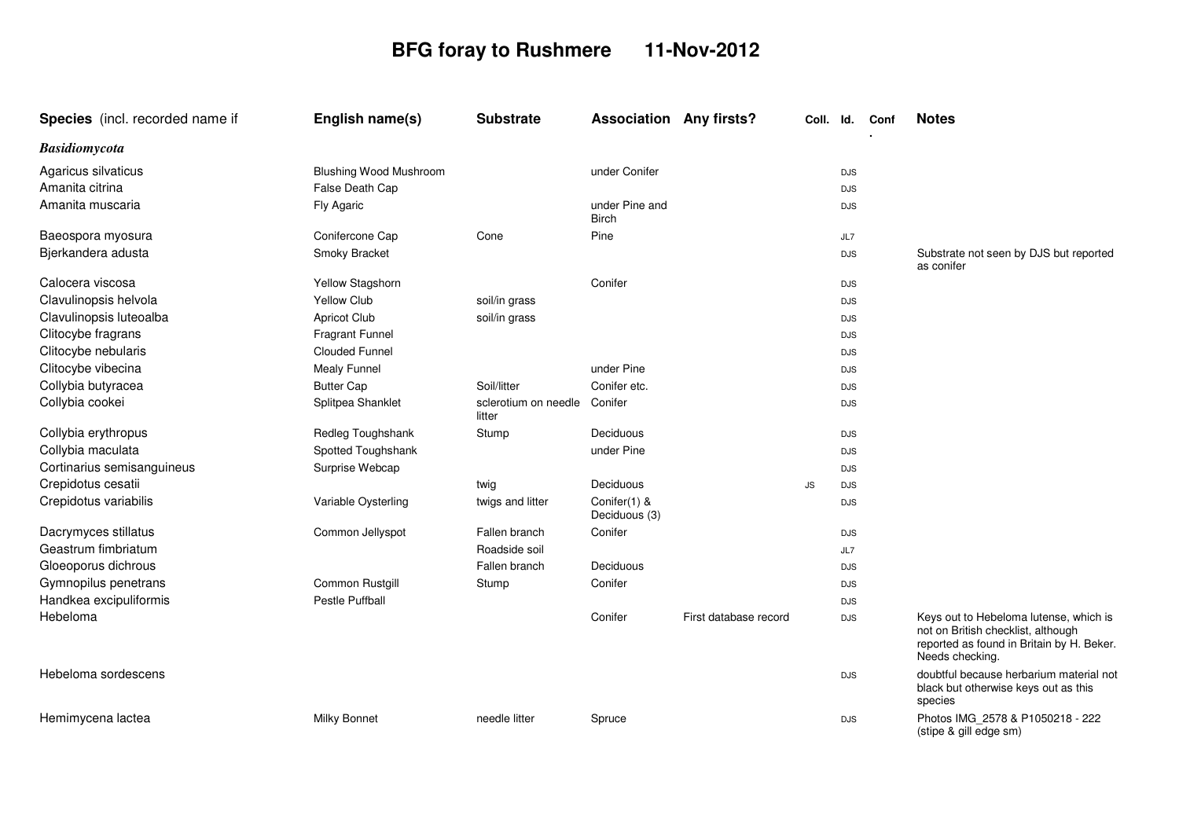## **BFG foray to Rushmere 11-Nov-2012**

| Species (incl. recorded name if | English name(s)               | <b>Substrate</b>               | <b>Association Any firsts?</b> |                       | Coll. Id. |            | Conf | <b>Notes</b>                                                                                                                                 |
|---------------------------------|-------------------------------|--------------------------------|--------------------------------|-----------------------|-----------|------------|------|----------------------------------------------------------------------------------------------------------------------------------------------|
| <b>Basidiomycota</b>            |                               |                                |                                |                       |           |            |      |                                                                                                                                              |
| Agaricus silvaticus             | <b>Blushing Wood Mushroom</b> |                                | under Conifer                  |                       |           | <b>DJS</b> |      |                                                                                                                                              |
| Amanita citrina                 | False Death Cap               |                                |                                |                       |           | <b>DJS</b> |      |                                                                                                                                              |
| Amanita muscaria                | Fly Agaric                    |                                | under Pine and<br><b>Birch</b> |                       |           | <b>DJS</b> |      |                                                                                                                                              |
| Baeospora myosura               | Conifercone Cap               | Cone                           | Pine                           |                       |           | JL7        |      |                                                                                                                                              |
| Bjerkandera adusta              | Smoky Bracket                 |                                |                                |                       |           | <b>DJS</b> |      | Substrate not seen by DJS but reported<br>as conifer                                                                                         |
| Calocera viscosa                | Yellow Stagshorn              |                                | Conifer                        |                       |           | <b>DJS</b> |      |                                                                                                                                              |
| Clavulinopsis helvola           | <b>Yellow Club</b>            | soil/in grass                  |                                |                       |           | <b>DJS</b> |      |                                                                                                                                              |
| Clavulinopsis luteoalba         | <b>Apricot Club</b>           | soil/in grass                  |                                |                       |           | <b>DJS</b> |      |                                                                                                                                              |
| Clitocybe fragrans              | <b>Fragrant Funnel</b>        |                                |                                |                       |           | <b>DJS</b> |      |                                                                                                                                              |
| Clitocybe nebularis             | <b>Clouded Funnel</b>         |                                |                                |                       |           | <b>DJS</b> |      |                                                                                                                                              |
| Clitocybe vibecina              | Mealy Funnel                  |                                | under Pine                     |                       |           | <b>DJS</b> |      |                                                                                                                                              |
| Collybia butyracea              | <b>Butter Cap</b>             | Soil/litter                    | Conifer etc.                   |                       |           | <b>DJS</b> |      |                                                                                                                                              |
| Collybia cookei                 | Splitpea Shanklet             | sclerotium on needle<br>litter | Conifer                        |                       |           | <b>DJS</b> |      |                                                                                                                                              |
| Collybia erythropus             | Redleg Toughshank             | Stump                          | Deciduous                      |                       |           | <b>DJS</b> |      |                                                                                                                                              |
| Collybia maculata               | Spotted Toughshank            |                                | under Pine                     |                       |           | <b>DJS</b> |      |                                                                                                                                              |
| Cortinarius semisanguineus      | Surprise Webcap               |                                |                                |                       |           | <b>DJS</b> |      |                                                                                                                                              |
| Crepidotus cesatii              |                               | twig                           | Deciduous                      |                       | JS        | <b>DJS</b> |      |                                                                                                                                              |
| Crepidotus variabilis           | Variable Oysterling           | twigs and litter               | Conifer(1) &<br>Deciduous (3)  |                       |           | <b>DJS</b> |      |                                                                                                                                              |
| Dacrymyces stillatus            | Common Jellyspot              | Fallen branch                  | Conifer                        |                       |           | <b>DJS</b> |      |                                                                                                                                              |
| Geastrum fimbriatum             |                               | Roadside soil                  |                                |                       |           | JL7        |      |                                                                                                                                              |
| Gloeoporus dichrous             |                               | Fallen branch                  | Deciduous                      |                       |           | <b>DJS</b> |      |                                                                                                                                              |
| Gymnopilus penetrans            | Common Rustgill               | Stump                          | Conifer                        |                       |           | <b>DJS</b> |      |                                                                                                                                              |
| Handkea excipuliformis          | <b>Pestle Puffball</b>        |                                |                                |                       |           | <b>DJS</b> |      |                                                                                                                                              |
| Hebeloma                        |                               |                                | Conifer                        | First database record |           | <b>DJS</b> |      | Keys out to Hebeloma lutense, which is<br>not on British checklist, although<br>reported as found in Britain by H. Beker.<br>Needs checking. |
| Hebeloma sordescens             |                               |                                |                                |                       |           | <b>DJS</b> |      | doubtful because herbarium material not<br>black but otherwise keys out as this<br>species                                                   |
| Hemimycena lactea               | <b>Milky Bonnet</b>           | needle litter                  | Spruce                         |                       |           | <b>DJS</b> |      | Photos IMG 2578 & P1050218 - 222<br>(stipe & gill edge sm)                                                                                   |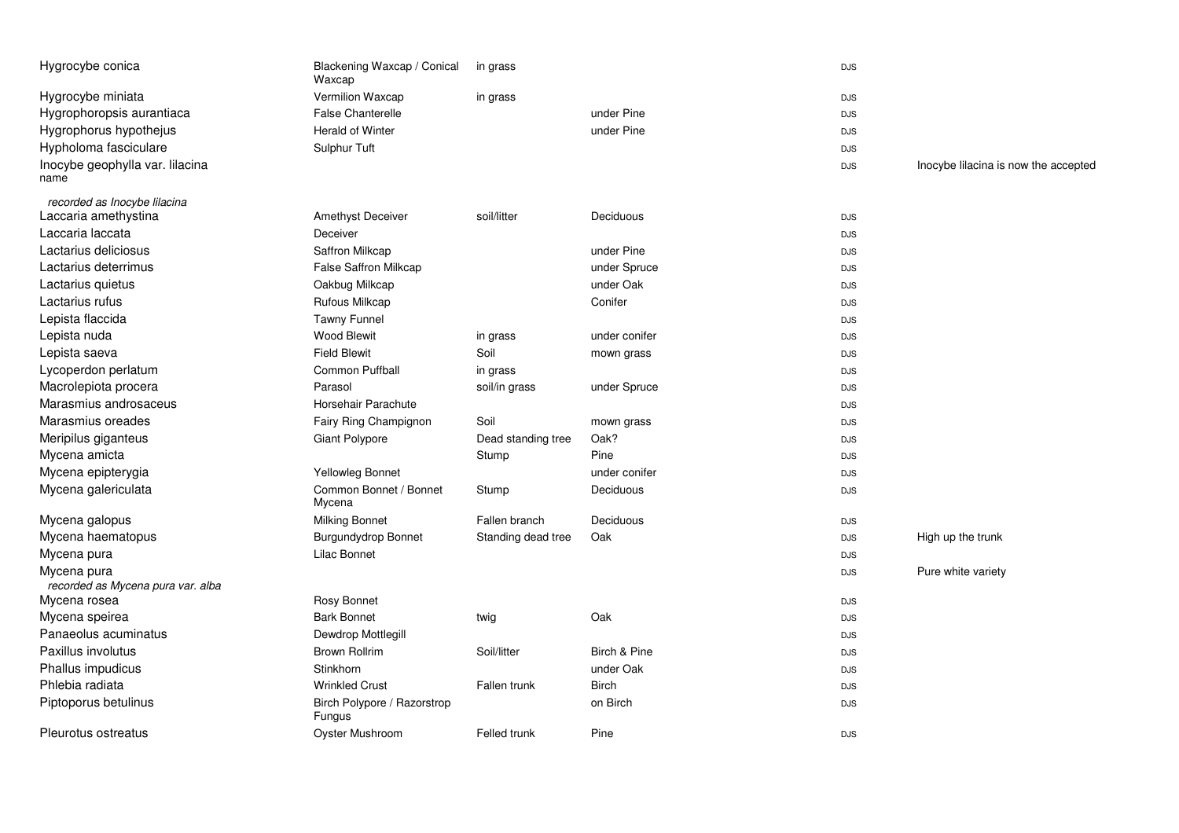| Hygrocybe conica                                 | Blackening Waxcap / Conical<br>Waxcap | in grass           |               | <b>DJS</b> |                                      |
|--------------------------------------------------|---------------------------------------|--------------------|---------------|------------|--------------------------------------|
| Hygrocybe miniata                                | Vermilion Waxcap                      | in grass           |               | <b>DJS</b> |                                      |
| Hygrophoropsis aurantiaca                        | <b>False Chanterelle</b>              |                    | under Pine    | <b>DJS</b> |                                      |
| Hygrophorus hypothejus                           | Herald of Winter                      |                    | under Pine    | <b>DJS</b> |                                      |
| Hypholoma fasciculare                            | Sulphur Tuft                          |                    |               | <b>DJS</b> |                                      |
| Inocybe geophylla var. lilacina<br>name          |                                       |                    |               | <b>DJS</b> | Inocybe lilacina is now the accepted |
| recorded as Inocybe lilacina                     |                                       |                    |               |            |                                      |
| Laccaria amethystina                             | Amethyst Deceiver                     | soil/litter        | Deciduous     | <b>DJS</b> |                                      |
| Laccaria laccata                                 | Deceiver                              |                    |               | <b>DJS</b> |                                      |
| Lactarius deliciosus                             | Saffron Milkcap                       |                    | under Pine    | <b>DJS</b> |                                      |
| Lactarius deterrimus                             | <b>False Saffron Milkcap</b>          |                    | under Spruce  | <b>DJS</b> |                                      |
| Lactarius quietus                                | Oakbug Milkcap                        |                    | under Oak     | <b>DJS</b> |                                      |
| Lactarius rufus                                  | Rufous Milkcap                        |                    | Conifer       | <b>DJS</b> |                                      |
| Lepista flaccida                                 | <b>Tawny Funnel</b>                   |                    |               | <b>DJS</b> |                                      |
| Lepista nuda                                     | <b>Wood Blewit</b>                    | in grass           | under conifer | <b>DJS</b> |                                      |
| Lepista saeva                                    | <b>Field Blewit</b>                   | Soil               | mown grass    | <b>DJS</b> |                                      |
| Lycoperdon perlatum                              | Common Puffball                       | in grass           |               | <b>DJS</b> |                                      |
| Macrolepiota procera                             | Parasol                               | soil/in grass      | under Spruce  | <b>DJS</b> |                                      |
| Marasmius androsaceus                            | Horsehair Parachute                   |                    |               | <b>DJS</b> |                                      |
| Marasmius oreades                                | Fairy Ring Champignon                 | Soil               | mown grass    | <b>DJS</b> |                                      |
| Meripilus giganteus                              | Giant Polypore                        | Dead standing tree | Oak?          | <b>DJS</b> |                                      |
| Mycena amicta                                    |                                       | Stump              | Pine          | <b>DJS</b> |                                      |
| Mycena epipterygia                               | Yellowleg Bonnet                      |                    | under conifer | <b>DJS</b> |                                      |
| Mycena galericulata                              | Common Bonnet / Bonnet<br>Mycena      | Stump              | Deciduous     | <b>DJS</b> |                                      |
| Mycena galopus                                   | <b>Milking Bonnet</b>                 | Fallen branch      | Deciduous     | <b>DJS</b> |                                      |
| Mycena haematopus                                | Burgundydrop Bonnet                   | Standing dead tree | Oak           | <b>DJS</b> | High up the trunk                    |
| Mycena pura                                      | <b>Lilac Bonnet</b>                   |                    |               | <b>DJS</b> |                                      |
| Mycena pura<br>recorded as Mycena pura var. alba |                                       |                    |               | <b>DJS</b> | Pure white variety                   |
| Mycena rosea                                     | Rosy Bonnet                           |                    |               | <b>DJS</b> |                                      |
| Mycena speirea                                   | <b>Bark Bonnet</b>                    | twig               | Oak           | <b>DJS</b> |                                      |
| Panaeolus acuminatus                             | Dewdrop Mottlegill                    |                    |               | <b>DJS</b> |                                      |
| Paxillus involutus                               | <b>Brown Rollrim</b>                  | Soil/litter        | Birch & Pine  | <b>DJS</b> |                                      |
| Phallus impudicus                                | Stinkhorn                             |                    | under Oak     | <b>DJS</b> |                                      |
| Phlebia radiata                                  | <b>Wrinkled Crust</b>                 | Fallen trunk       | <b>Birch</b>  | <b>DJS</b> |                                      |
| Piptoporus betulinus                             | Birch Polypore / Razorstrop<br>Fungus |                    | on Birch      | <b>DJS</b> |                                      |
| Pleurotus ostreatus                              | Oyster Mushroom                       | Felled trunk       | Pine          | <b>DJS</b> |                                      |